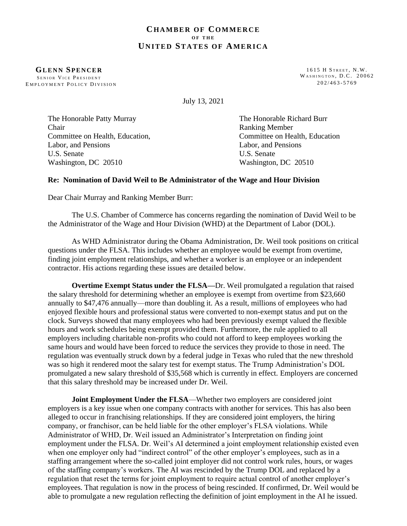## **CH A M B E R O F CO M M E R C E O F T H E UNITED STATES OF AMERICA**

**GL E N N SP E N C E R** SENIOR VICE PRESIDENT EMPLOYMENT POLICY DIVISION

1615 H STREET, N.W. WASHINGTON, D.C. 20062  $202/463 - 5769$ 

July 13, 2021

The Honorable Patty Murray The Honorable Richard Burr Chair Ranking Member Committee on Health, Education, Committee on Health, Education Labor, and Pensions Labor, and Pensions U.S. Senate U.S. Senate Washington, DC 20510 Washington, DC 20510

## **Re: Nomination of David Weil to Be Administrator of the Wage and Hour Division**

Dear Chair Murray and Ranking Member Burr:

The U.S. Chamber of Commerce has concerns regarding the nomination of David Weil to be the Administrator of the Wage and Hour Division (WHD) at the Department of Labor (DOL).

As WHD Administrator during the Obama Administration, Dr. Weil took positions on critical questions under the FLSA. This includes whether an employee would be exempt from overtime, finding joint employment relationships, and whether a worker is an employee or an independent contractor. His actions regarding these issues are detailed below.

**Overtime Exempt Status under the FLSA—**Dr. Weil promulgated a regulation that raised the salary threshold for determining whether an employee is exempt from overtime from \$23,660 annually to \$47,476 annually—more than doubling it. As a result, millions of employees who had enjoyed flexible hours and professional status were converted to non-exempt status and put on the clock. Surveys showed that many employees who had been previously exempt valued the flexible hours and work schedules being exempt provided them. Furthermore, the rule applied to all employers including charitable non-profits who could not afford to keep employees working the same hours and would have been forced to reduce the services they provide to those in need. The regulation was eventually struck down by a federal judge in Texas who ruled that the new threshold was so high it rendered moot the salary test for exempt status. The Trump Administration's DOL promulgated a new salary threshold of \$35,568 which is currently in effect. Employers are concerned that this salary threshold may be increased under Dr. Weil.

**Joint Employment Under the FLSA**—Whether two employers are considered joint employers is a key issue when one company contracts with another for services. This has also been alleged to occur in franchising relationships. If they are considered joint employers, the hiring company, or franchisor, can be held liable for the other employer's FLSA violations. While Administrator of WHD, Dr. Weil issued an Administrator's Interpretation on finding joint employment under the FLSA. Dr. Weil's AI determined a joint employment relationship existed even when one employer only had "indirect control" of the other employer's employees, such as in a staffing arrangement where the so-called joint employer did not control work rules, hours, or wages of the staffing company's workers. The AI was rescinded by the Trump DOL and replaced by a regulation that reset the terms for joint employment to require actual control of another employer's employees. That regulation is now in the process of being rescinded. If confirmed, Dr. Weil would be able to promulgate a new regulation reflecting the definition of joint employment in the AI he issued.